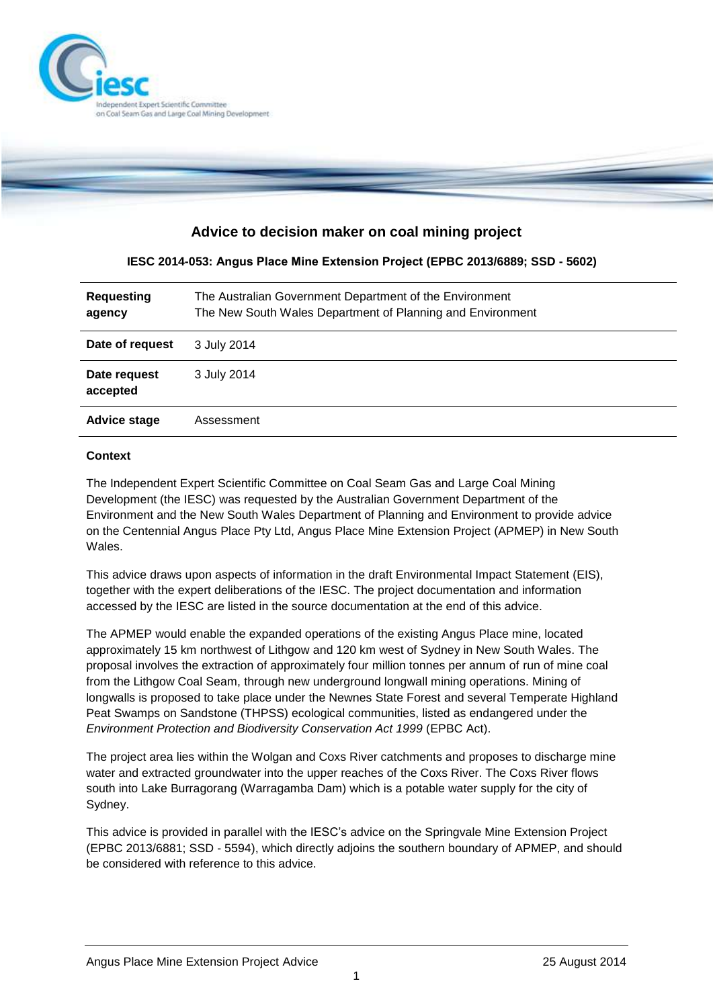

# **Advice to decision maker on coal mining project**

### **IESC 2014-053: Angus Place Mine Extension Project (EPBC 2013/6889; SSD - 5602)**

| <b>Requesting</b><br>agency | The Australian Government Department of the Environment<br>The New South Wales Department of Planning and Environment |
|-----------------------------|-----------------------------------------------------------------------------------------------------------------------|
| Date of request             | 3 July 2014                                                                                                           |
| Date request<br>accepted    | 3 July 2014                                                                                                           |
| <b>Advice stage</b>         | Assessment                                                                                                            |

#### **Context**

The Independent Expert Scientific Committee on Coal Seam Gas and Large Coal Mining Development (the IESC) was requested by the Australian Government Department of the Environment and the New South Wales Department of Planning and Environment to provide advice on the Centennial Angus Place Pty Ltd, Angus Place Mine Extension Project (APMEP) in New South Wales.

This advice draws upon aspects of information in the draft Environmental Impact Statement (EIS), together with the expert deliberations of the IESC. The project documentation and information accessed by the IESC are listed in the source documentation at the end of this advice.

The APMEP would enable the expanded operations of the existing Angus Place mine, located approximately 15 km northwest of Lithgow and 120 km west of Sydney in New South Wales. The proposal involves the extraction of approximately four million tonnes per annum of run of mine coal from the Lithgow Coal Seam, through new underground longwall mining operations. Mining of longwalls is proposed to take place under the Newnes State Forest and several Temperate Highland Peat Swamps on Sandstone (THPSS) ecological communities, listed as endangered under the *Environment Protection and Biodiversity Conservation Act 1999* (EPBC Act).

The project area lies within the Wolgan and Coxs River catchments and proposes to discharge mine water and extracted groundwater into the upper reaches of the Coxs River. The Coxs River flows south into Lake Burragorang (Warragamba Dam) which is a potable water supply for the city of Sydney.

This advice is provided in parallel with the IESC's advice on the Springvale Mine Extension Project (EPBC 2013/6881; SSD - 5594), which directly adjoins the southern boundary of APMEP, and should be considered with reference to this advice.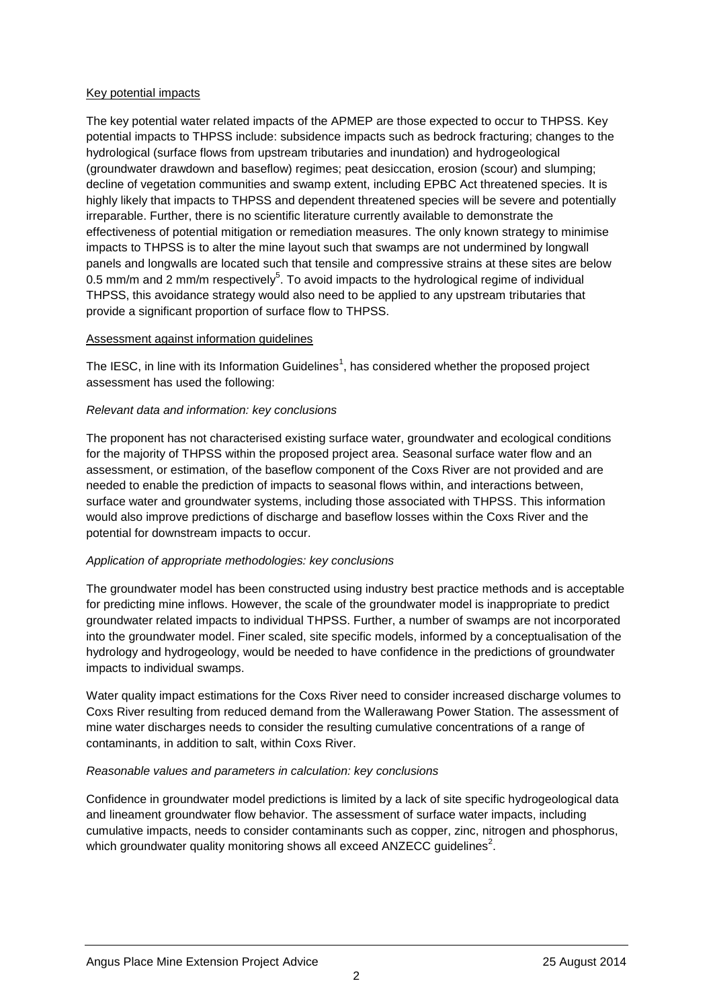#### Key potential impacts

The key potential water related impacts of the APMEP are those expected to occur to THPSS. Key potential impacts to THPSS include: subsidence impacts such as bedrock fracturing; changes to the hydrological (surface flows from upstream tributaries and inundation) and hydrogeological (groundwater drawdown and baseflow) regimes; peat desiccation, erosion (scour) and slumping; decline of vegetation communities and swamp extent, including EPBC Act threatened species. It is highly likely that impacts to THPSS and dependent threatened species will be severe and potentially irreparable. Further, there is no scientific literature currently available to demonstrate the effectiveness of potential mitigation or remediation measures. The only known strategy to minimise impacts to THPSS is to alter the mine layout such that swamps are not undermined by longwall panels and longwalls are located such that tensile and compressive strains at these sites are below 0.5 mm/m and 2 mm/m respectively<sup>5</sup>. To avoid impacts to the hydrological regime of individual THPSS, this avoidance strategy would also need to be applied to any upstream tributaries that provide a significant proportion of surface flow to THPSS.

### Assessment against information guidelines

The IESC, in line with its Information Guidelines<sup>1</sup>, has considered whether the proposed project assessment has used the following:

### *Relevant data and information: key conclusions*

The proponent has not characterised existing surface water, groundwater and ecological conditions for the majority of THPSS within the proposed project area. Seasonal surface water flow and an assessment, or estimation, of the baseflow component of the Coxs River are not provided and are needed to enable the prediction of impacts to seasonal flows within, and interactions between, surface water and groundwater systems, including those associated with THPSS. This information would also improve predictions of discharge and baseflow losses within the Coxs River and the potential for downstream impacts to occur.

# *Application of appropriate methodologies: key conclusions*

The groundwater model has been constructed using industry best practice methods and is acceptable for predicting mine inflows. However, the scale of the groundwater model is inappropriate to predict groundwater related impacts to individual THPSS. Further, a number of swamps are not incorporated into the groundwater model. Finer scaled, site specific models, informed by a conceptualisation of the hydrology and hydrogeology, would be needed to have confidence in the predictions of groundwater impacts to individual swamps.

Water quality impact estimations for the Coxs River need to consider increased discharge volumes to Coxs River resulting from reduced demand from the Wallerawang Power Station. The assessment of mine water discharges needs to consider the resulting cumulative concentrations of a range of contaminants, in addition to salt, within Coxs River.

# *Reasonable values and parameters in calculation: key conclusions*

Confidence in groundwater model predictions is limited by a lack of site specific hydrogeological data and lineament groundwater flow behavior. The assessment of surface water impacts, including cumulative impacts, needs to consider contaminants such as copper, zinc, nitrogen and phosphorus, which groundwater quality monitoring shows all exceed ANZECC guidelines<sup>2</sup>.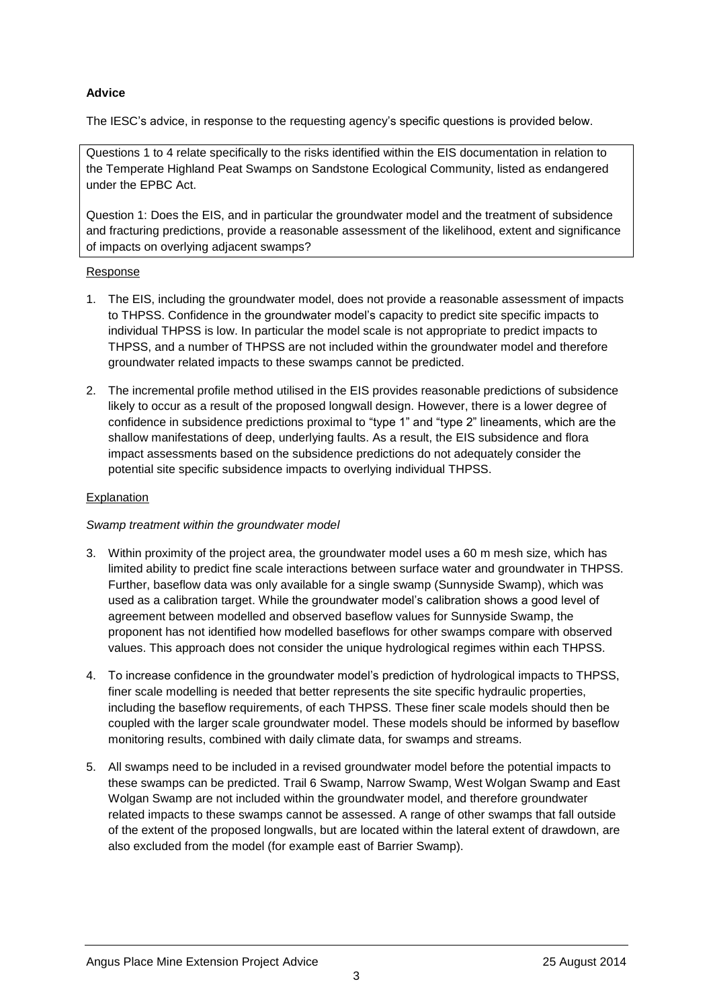## **Advice**

The IESC's advice, in response to the requesting agency's specific questions is provided below.

Questions 1 to 4 relate specifically to the risks identified within the EIS documentation in relation to the Temperate Highland Peat Swamps on Sandstone Ecological Community, listed as endangered under the EPBC Act.

Question 1: Does the EIS, and in particular the groundwater model and the treatment of subsidence and fracturing predictions, provide a reasonable assessment of the likelihood, extent and significance of impacts on overlying adjacent swamps?

#### Response

- 1. The EIS, including the groundwater model, does not provide a reasonable assessment of impacts to THPSS. Confidence in the groundwater model's capacity to predict site specific impacts to individual THPSS is low. In particular the model scale is not appropriate to predict impacts to THPSS, and a number of THPSS are not included within the groundwater model and therefore groundwater related impacts to these swamps cannot be predicted.
- 2. The incremental profile method utilised in the EIS provides reasonable predictions of subsidence likely to occur as a result of the proposed longwall design. However, there is a lower degree of confidence in subsidence predictions proximal to "type 1" and "type 2" lineaments, which are the shallow manifestations of deep, underlying faults. As a result, the EIS subsidence and flora impact assessments based on the subsidence predictions do not adequately consider the potential site specific subsidence impacts to overlying individual THPSS.

#### **Explanation**

#### *Swamp treatment within the groundwater model*

- 3. Within proximity of the project area, the groundwater model uses a 60 m mesh size, which has limited ability to predict fine scale interactions between surface water and groundwater in THPSS. Further, baseflow data was only available for a single swamp (Sunnyside Swamp), which was used as a calibration target. While the groundwater model's calibration shows a good level of agreement between modelled and observed baseflow values for Sunnyside Swamp, the proponent has not identified how modelled baseflows for other swamps compare with observed values. This approach does not consider the unique hydrological regimes within each THPSS.
- 4. To increase confidence in the groundwater model's prediction of hydrological impacts to THPSS, finer scale modelling is needed that better represents the site specific hydraulic properties, including the baseflow requirements, of each THPSS. These finer scale models should then be coupled with the larger scale groundwater model. These models should be informed by baseflow monitoring results, combined with daily climate data, for swamps and streams.
- 5. All swamps need to be included in a revised groundwater model before the potential impacts to these swamps can be predicted. Trail 6 Swamp, Narrow Swamp, West Wolgan Swamp and East Wolgan Swamp are not included within the groundwater model, and therefore groundwater related impacts to these swamps cannot be assessed. A range of other swamps that fall outside of the extent of the proposed longwalls, but are located within the lateral extent of drawdown, are also excluded from the model (for example east of Barrier Swamp).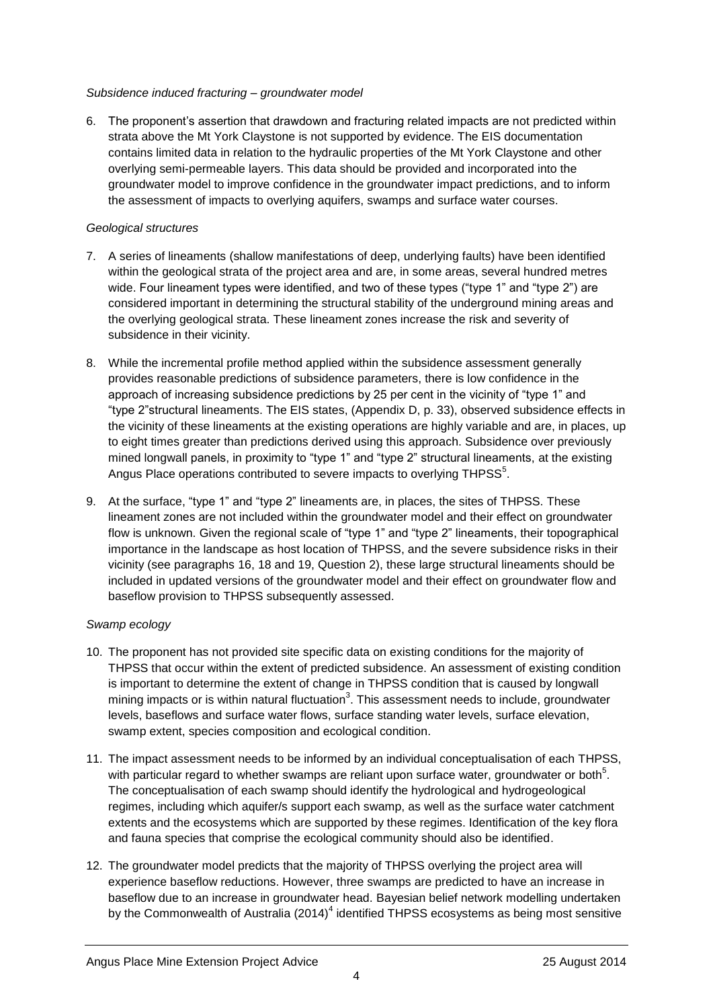### *Subsidence induced fracturing – groundwater model*

6. The proponent's assertion that drawdown and fracturing related impacts are not predicted within strata above the Mt York Claystone is not supported by evidence. The EIS documentation contains limited data in relation to the hydraulic properties of the Mt York Claystone and other overlying semi-permeable layers. This data should be provided and incorporated into the groundwater model to improve confidence in the groundwater impact predictions, and to inform the assessment of impacts to overlying aquifers, swamps and surface water courses.

### *Geological structures*

- 7. A series of lineaments (shallow manifestations of deep, underlying faults) have been identified within the geological strata of the project area and are, in some areas, several hundred metres wide. Four lineament types were identified, and two of these types ("type 1" and "type 2") are considered important in determining the structural stability of the underground mining areas and the overlying geological strata. These lineament zones increase the risk and severity of subsidence in their vicinity.
- 8. While the incremental profile method applied within the subsidence assessment generally provides reasonable predictions of subsidence parameters, there is low confidence in the approach of increasing subsidence predictions by 25 per cent in the vicinity of "type 1" and "type 2"structural lineaments. The EIS states, (Appendix D, p. 33), observed subsidence effects in the vicinity of these lineaments at the existing operations are highly variable and are, in places, up to eight times greater than predictions derived using this approach. Subsidence over previously mined longwall panels, in proximity to "type 1" and "type 2" structural lineaments, at the existing Angus Place operations contributed to severe impacts to overlying THPSS $5$ .
- 9. At the surface, "type 1" and "type 2" lineaments are, in places, the sites of THPSS. These lineament zones are not included within the groundwater model and their effect on groundwater flow is unknown. Given the regional scale of "type 1" and "type 2" lineaments, their topographical importance in the landscape as host location of THPSS, and the severe subsidence risks in their vicinity (see paragraphs 16, 18 and 19, Question 2), these large structural lineaments should be included in updated versions of the groundwater model and their effect on groundwater flow and baseflow provision to THPSS subsequently assessed.

# *Swamp ecology*

- 10. The proponent has not provided site specific data on existing conditions for the majority of THPSS that occur within the extent of predicted subsidence. An assessment of existing condition is important to determine the extent of change in THPSS condition that is caused by longwall mining impacts or is within natural fluctuation<sup>3</sup>. This assessment needs to include, groundwater levels, baseflows and surface water flows, surface standing water levels, surface elevation, swamp extent, species composition and ecological condition.
- 11. The impact assessment needs to be informed by an individual conceptualisation of each THPSS, with particular regard to whether swamps are reliant upon surface water, groundwater or both<sup>5</sup>. The conceptualisation of each swamp should identify the hydrological and hydrogeological regimes, including which aquifer/s support each swamp, as well as the surface water catchment extents and the ecosystems which are supported by these regimes. Identification of the key flora and fauna species that comprise the ecological community should also be identified.
- 12. The groundwater model predicts that the majority of THPSS overlying the project area will experience baseflow reductions. However, three swamps are predicted to have an increase in baseflow due to an increase in groundwater head. Bayesian belief network modelling undertaken by the Commonwealth of Australia (2014) $^4$  identified THPSS ecosystems as being most sensitive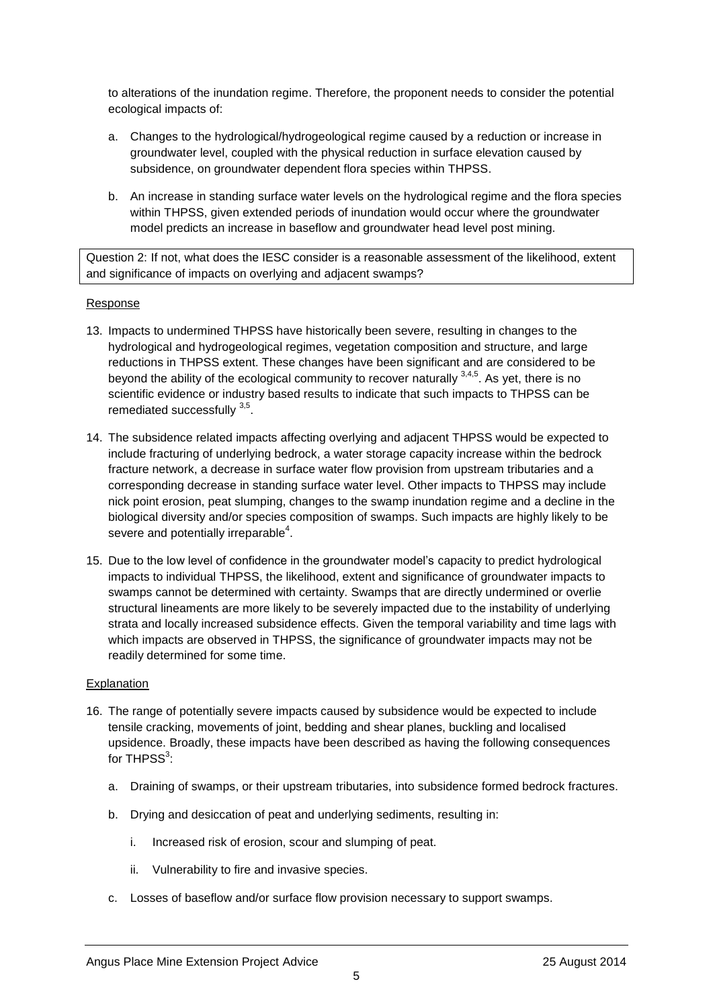to alterations of the inundation regime. Therefore, the proponent needs to consider the potential ecological impacts of:

- a. Changes to the hydrological/hydrogeological regime caused by a reduction or increase in groundwater level, coupled with the physical reduction in surface elevation caused by subsidence, on groundwater dependent flora species within THPSS.
- b. An increase in standing surface water levels on the hydrological regime and the flora species within THPSS, given extended periods of inundation would occur where the groundwater model predicts an increase in baseflow and groundwater head level post mining.

Question 2: If not, what does the IESC consider is a reasonable assessment of the likelihood, extent and significance of impacts on overlying and adjacent swamps?

#### Response

- 13. Impacts to undermined THPSS have historically been severe, resulting in changes to the hydrological and hydrogeological regimes, vegetation composition and structure, and large reductions in THPSS extent. These changes have been significant and are considered to be beyond the ability of the ecological community to recover naturally  $3,4,5$ . As yet, there is no scientific evidence or industry based results to indicate that such impacts to THPSS can be remediated successfully <sup>3,5</sup>.
- 14. The subsidence related impacts affecting overlying and adjacent THPSS would be expected to include fracturing of underlying bedrock, a water storage capacity increase within the bedrock fracture network, a decrease in surface water flow provision from upstream tributaries and a corresponding decrease in standing surface water level. Other impacts to THPSS may include nick point erosion, peat slumping, changes to the swamp inundation regime and a decline in the biological diversity and/or species composition of swamps. Such impacts are highly likely to be severe and potentially irreparable<sup>4</sup>.
- 15. Due to the low level of confidence in the groundwater model's capacity to predict hydrological impacts to individual THPSS, the likelihood, extent and significance of groundwater impacts to swamps cannot be determined with certainty. Swamps that are directly undermined or overlie structural lineaments are more likely to be severely impacted due to the instability of underlying strata and locally increased subsidence effects. Given the temporal variability and time lags with which impacts are observed in THPSS, the significance of groundwater impacts may not be readily determined for some time.

- 16. The range of potentially severe impacts caused by subsidence would be expected to include tensile cracking, movements of joint, bedding and shear planes, buckling and localised upsidence. Broadly, these impacts have been described as having the following consequences for THPSS $^3$ :
	- a. Draining of swamps, or their upstream tributaries, into subsidence formed bedrock fractures.
	- b. Drying and desiccation of peat and underlying sediments, resulting in:
		- i. Increased risk of erosion, scour and slumping of peat.
		- ii. Vulnerability to fire and invasive species.
	- c. Losses of baseflow and/or surface flow provision necessary to support swamps.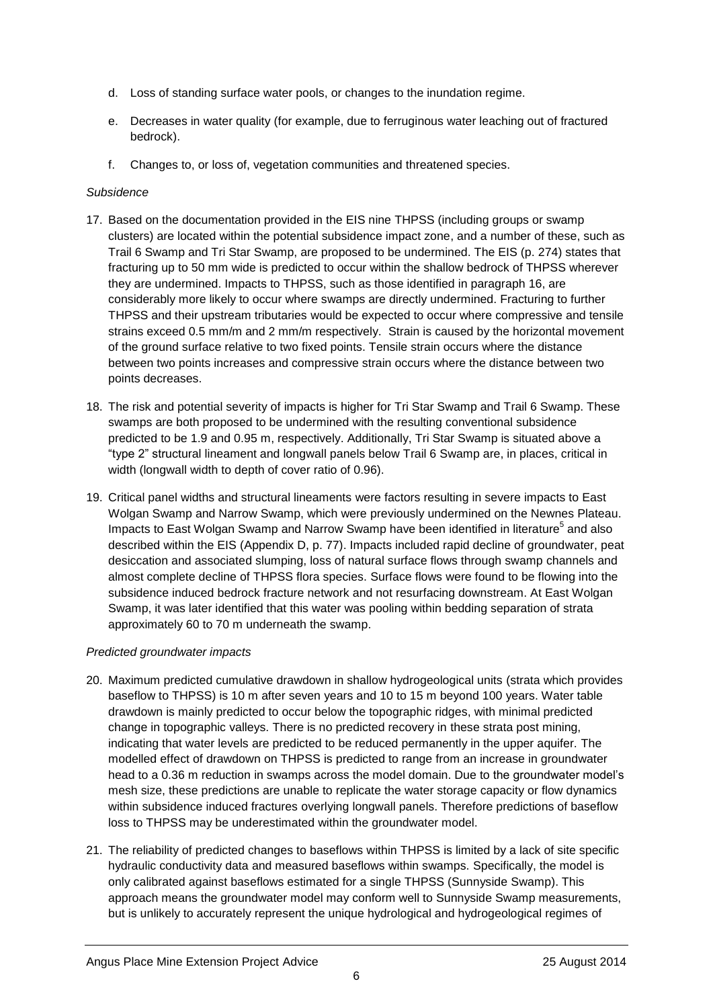- d. Loss of standing surface water pools, or changes to the inundation regime.
- e. Decreases in water quality (for example, due to ferruginous water leaching out of fractured bedrock).
- f. Changes to, or loss of, vegetation communities and threatened species.

### *Subsidence*

- 17. Based on the documentation provided in the EIS nine THPSS (including groups or swamp clusters) are located within the potential subsidence impact zone, and a number of these, such as Trail 6 Swamp and Tri Star Swamp, are proposed to be undermined. The EIS (p. 274) states that fracturing up to 50 mm wide is predicted to occur within the shallow bedrock of THPSS wherever they are undermined. Impacts to THPSS, such as those identified in paragraph 16, are considerably more likely to occur where swamps are directly undermined. Fracturing to further THPSS and their upstream tributaries would be expected to occur where compressive and tensile strains exceed 0.5 mm/m and 2 mm/m respectively. Strain is caused by the horizontal movement of the ground surface relative to two fixed points. Tensile strain occurs where the distance between two points increases and compressive strain occurs where the distance between two points decreases.
- 18. The risk and potential severity of impacts is higher for Tri Star Swamp and Trail 6 Swamp. These swamps are both proposed to be undermined with the resulting conventional subsidence predicted to be 1.9 and 0.95 m, respectively. Additionally, Tri Star Swamp is situated above a "type 2" structural lineament and longwall panels below Trail 6 Swamp are, in places, critical in width (longwall width to depth of cover ratio of 0.96).
- 19. Critical panel widths and structural lineaments were factors resulting in severe impacts to East Wolgan Swamp and Narrow Swamp, which were previously undermined on the Newnes Plateau. Impacts to East Wolgan Swamp and Narrow Swamp have been identified in literature<sup>5</sup> and also described within the EIS (Appendix D, p. 77). Impacts included rapid decline of groundwater, peat desiccation and associated slumping, loss of natural surface flows through swamp channels and almost complete decline of THPSS flora species. Surface flows were found to be flowing into the subsidence induced bedrock fracture network and not resurfacing downstream. At East Wolgan Swamp, it was later identified that this water was pooling within bedding separation of strata approximately 60 to 70 m underneath the swamp.

#### *Predicted groundwater impacts*

- 20. Maximum predicted cumulative drawdown in shallow hydrogeological units (strata which provides baseflow to THPSS) is 10 m after seven years and 10 to 15 m beyond 100 years. Water table drawdown is mainly predicted to occur below the topographic ridges, with minimal predicted change in topographic valleys. There is no predicted recovery in these strata post mining, indicating that water levels are predicted to be reduced permanently in the upper aquifer. The modelled effect of drawdown on THPSS is predicted to range from an increase in groundwater head to a 0.36 m reduction in swamps across the model domain. Due to the groundwater model's mesh size, these predictions are unable to replicate the water storage capacity or flow dynamics within subsidence induced fractures overlying longwall panels. Therefore predictions of baseflow loss to THPSS may be underestimated within the groundwater model.
- 21. The reliability of predicted changes to baseflows within THPSS is limited by a lack of site specific hydraulic conductivity data and measured baseflows within swamps. Specifically, the model is only calibrated against baseflows estimated for a single THPSS (Sunnyside Swamp). This approach means the groundwater model may conform well to Sunnyside Swamp measurements, but is unlikely to accurately represent the unique hydrological and hydrogeological regimes of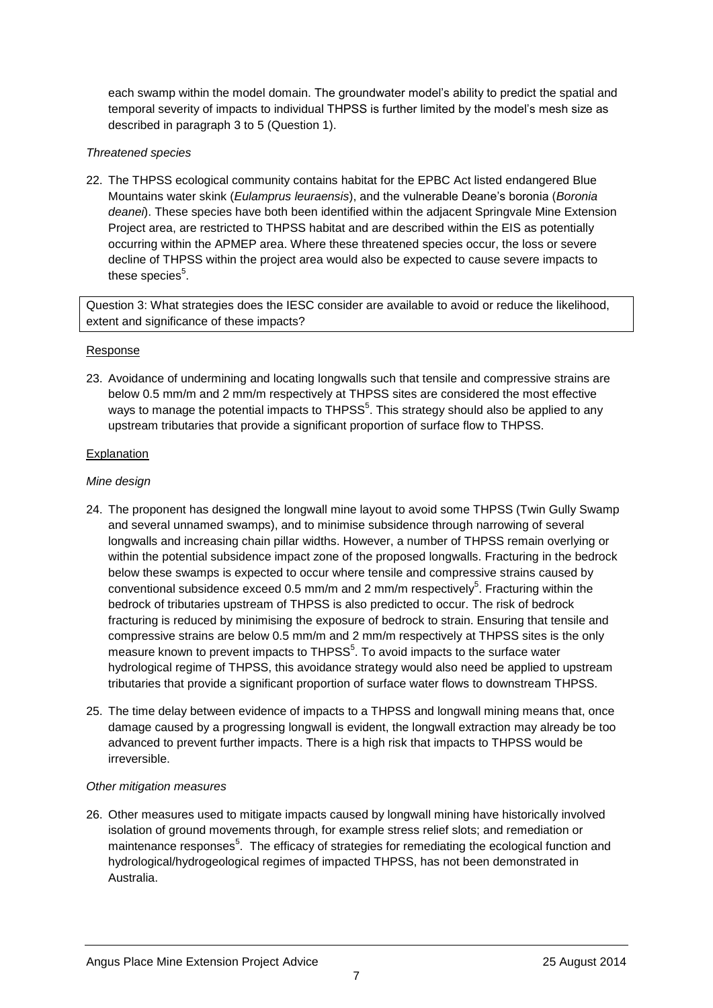each swamp within the model domain. The groundwater model's ability to predict the spatial and temporal severity of impacts to individual THPSS is further limited by the model's mesh size as described in paragraph 3 to 5 (Question 1).

### *Threatened species*

22. The THPSS ecological community contains habitat for the EPBC Act listed endangered Blue Mountains water skink (*Eulamprus leuraensis*), and the vulnerable Deane's boronia (*Boronia deanei*). These species have both been identified within the adjacent Springvale Mine Extension Project area, are restricted to THPSS habitat and are described within the EIS as potentially occurring within the APMEP area. Where these threatened species occur, the loss or severe decline of THPSS within the project area would also be expected to cause severe impacts to these species $^5$ .

Question 3: What strategies does the IESC consider are available to avoid or reduce the likelihood, extent and significance of these impacts?

### Response

23. Avoidance of undermining and locating longwalls such that tensile and compressive strains are below 0.5 mm/m and 2 mm/m respectively at THPSS sites are considered the most effective ways to manage the potential impacts to THPSS<sup>5</sup>. This strategy should also be applied to any upstream tributaries that provide a significant proportion of surface flow to THPSS.

### Explanation

### *Mine design*

- 24. The proponent has designed the longwall mine layout to avoid some THPSS (Twin Gully Swamp and several unnamed swamps), and to minimise subsidence through narrowing of several longwalls and increasing chain pillar widths. However, a number of THPSS remain overlying or within the potential subsidence impact zone of the proposed longwalls. Fracturing in the bedrock below these swamps is expected to occur where tensile and compressive strains caused by conventional subsidence exceed 0.5 mm/m and 2 mm/m respectively<sup>5</sup>. Fracturing within the bedrock of tributaries upstream of THPSS is also predicted to occur. The risk of bedrock fracturing is reduced by minimising the exposure of bedrock to strain. Ensuring that tensile and compressive strains are below 0.5 mm/m and 2 mm/m respectively at THPSS sites is the only measure known to prevent impacts to THPSS $5$ . To avoid impacts to the surface water hydrological regime of THPSS, this avoidance strategy would also need be applied to upstream tributaries that provide a significant proportion of surface water flows to downstream THPSS.
- 25. The time delay between evidence of impacts to a THPSS and longwall mining means that, once damage caused by a progressing longwall is evident, the longwall extraction may already be too advanced to prevent further impacts. There is a high risk that impacts to THPSS would be irreversible.

#### *Other mitigation measures*

26. Other measures used to mitigate impacts caused by longwall mining have historically involved isolation of ground movements through, for example stress relief slots; and remediation or maintenance responses<sup>5</sup>. The efficacy of strategies for remediating the ecological function and hydrological/hydrogeological regimes of impacted THPSS, has not been demonstrated in Australia.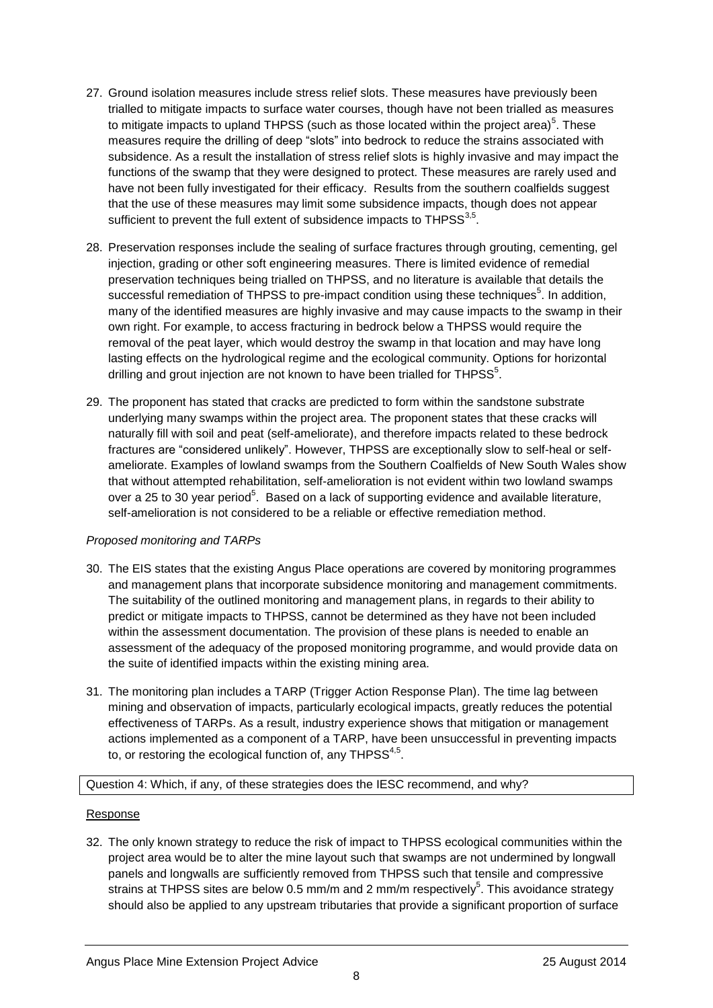- 27. Ground isolation measures include stress relief slots. These measures have previously been trialled to mitigate impacts to surface water courses, though have not been trialled as measures to mitigate impacts to upland THPSS (such as those located within the project area)<sup>5</sup>. These measures require the drilling of deep "slots" into bedrock to reduce the strains associated with subsidence. As a result the installation of stress relief slots is highly invasive and may impact the functions of the swamp that they were designed to protect. These measures are rarely used and have not been fully investigated for their efficacy. Results from the southern coalfields suggest that the use of these measures may limit some subsidence impacts, though does not appear sufficient to prevent the full extent of subsidence impacts to THPSS $^{3,5}$ .
- 28. Preservation responses include the sealing of surface fractures through grouting, cementing, gel injection, grading or other soft engineering measures. There is limited evidence of remedial preservation techniques being trialled on THPSS, and no literature is available that details the successful remediation of THPSS to pre-impact condition using these techniques<sup>5</sup>. In addition, many of the identified measures are highly invasive and may cause impacts to the swamp in their own right. For example, to access fracturing in bedrock below a THPSS would require the removal of the peat layer, which would destroy the swamp in that location and may have long lasting effects on the hydrological regime and the ecological community. Options for horizontal drilling and grout injection are not known to have been trialled for THPSS $5$ .
- 29. The proponent has stated that cracks are predicted to form within the sandstone substrate underlying many swamps within the project area. The proponent states that these cracks will naturally fill with soil and peat (self-ameliorate), and therefore impacts related to these bedrock fractures are "considered unlikely". However, THPSS are exceptionally slow to self-heal or selfameliorate. Examples of lowland swamps from the Southern Coalfields of New South Wales show that without attempted rehabilitation, self-amelioration is not evident within two lowland swamps over a 25 to 30 year period<sup>5</sup>. Based on a lack of supporting evidence and available literature, self-amelioration is not considered to be a reliable or effective remediation method.

# *Proposed monitoring and TARPs*

- 30. The EIS states that the existing Angus Place operations are covered by monitoring programmes and management plans that incorporate subsidence monitoring and management commitments. The suitability of the outlined monitoring and management plans, in regards to their ability to predict or mitigate impacts to THPSS, cannot be determined as they have not been included within the assessment documentation. The provision of these plans is needed to enable an assessment of the adequacy of the proposed monitoring programme, and would provide data on the suite of identified impacts within the existing mining area.
- 31. The monitoring plan includes a TARP (Trigger Action Response Plan). The time lag between mining and observation of impacts, particularly ecological impacts, greatly reduces the potential effectiveness of TARPs. As a result, industry experience shows that mitigation or management actions implemented as a component of a TARP, have been unsuccessful in preventing impacts to, or restoring the ecological function of, any THPSS $4,5$ .

#### Question 4: Which, if any, of these strategies does the IESC recommend, and why?

#### Response

32. The only known strategy to reduce the risk of impact to THPSS ecological communities within the project area would be to alter the mine layout such that swamps are not undermined by longwall panels and longwalls are sufficiently removed from THPSS such that tensile and compressive strains at THPSS sites are below 0.5 mm/m and 2 mm/m respectively<sup>5</sup>. This avoidance strategy should also be applied to any upstream tributaries that provide a significant proportion of surface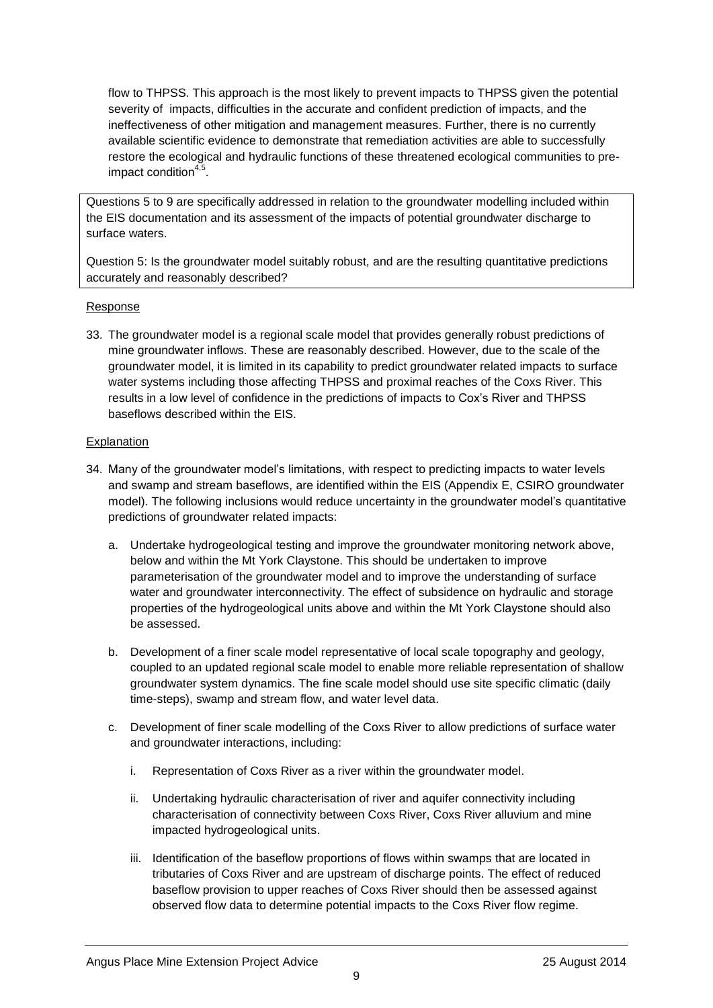flow to THPSS. This approach is the most likely to prevent impacts to THPSS given the potential severity of impacts, difficulties in the accurate and confident prediction of impacts, and the ineffectiveness of other mitigation and management measures. Further, there is no currently available scientific evidence to demonstrate that remediation activities are able to successfully restore the ecological and hydraulic functions of these threatened ecological communities to preimpact condition<sup>4,5</sup>.

Questions 5 to 9 are specifically addressed in relation to the groundwater modelling included within the EIS documentation and its assessment of the impacts of potential groundwater discharge to surface waters.

Question 5: Is the groundwater model suitably robust, and are the resulting quantitative predictions accurately and reasonably described?

### Response

33. The groundwater model is a regional scale model that provides generally robust predictions of mine groundwater inflows. These are reasonably described. However, due to the scale of the groundwater model, it is limited in its capability to predict groundwater related impacts to surface water systems including those affecting THPSS and proximal reaches of the Coxs River. This results in a low level of confidence in the predictions of impacts to Cox's River and THPSS baseflows described within the EIS.

- 34. Many of the groundwater model's limitations, with respect to predicting impacts to water levels and swamp and stream baseflows, are identified within the EIS (Appendix E, CSIRO groundwater model). The following inclusions would reduce uncertainty in the groundwater model's quantitative predictions of groundwater related impacts:
	- a. Undertake hydrogeological testing and improve the groundwater monitoring network above, below and within the Mt York Claystone. This should be undertaken to improve parameterisation of the groundwater model and to improve the understanding of surface water and groundwater interconnectivity. The effect of subsidence on hydraulic and storage properties of the hydrogeological units above and within the Mt York Claystone should also be assessed.
	- b. Development of a finer scale model representative of local scale topography and geology, coupled to an updated regional scale model to enable more reliable representation of shallow groundwater system dynamics. The fine scale model should use site specific climatic (daily time-steps), swamp and stream flow, and water level data.
	- c. Development of finer scale modelling of the Coxs River to allow predictions of surface water and groundwater interactions, including:
		- i. Representation of Coxs River as a river within the groundwater model.
		- ii. Undertaking hydraulic characterisation of river and aquifer connectivity including characterisation of connectivity between Coxs River, Coxs River alluvium and mine impacted hydrogeological units.
		- iii. Identification of the baseflow proportions of flows within swamps that are located in tributaries of Coxs River and are upstream of discharge points. The effect of reduced baseflow provision to upper reaches of Coxs River should then be assessed against observed flow data to determine potential impacts to the Coxs River flow regime.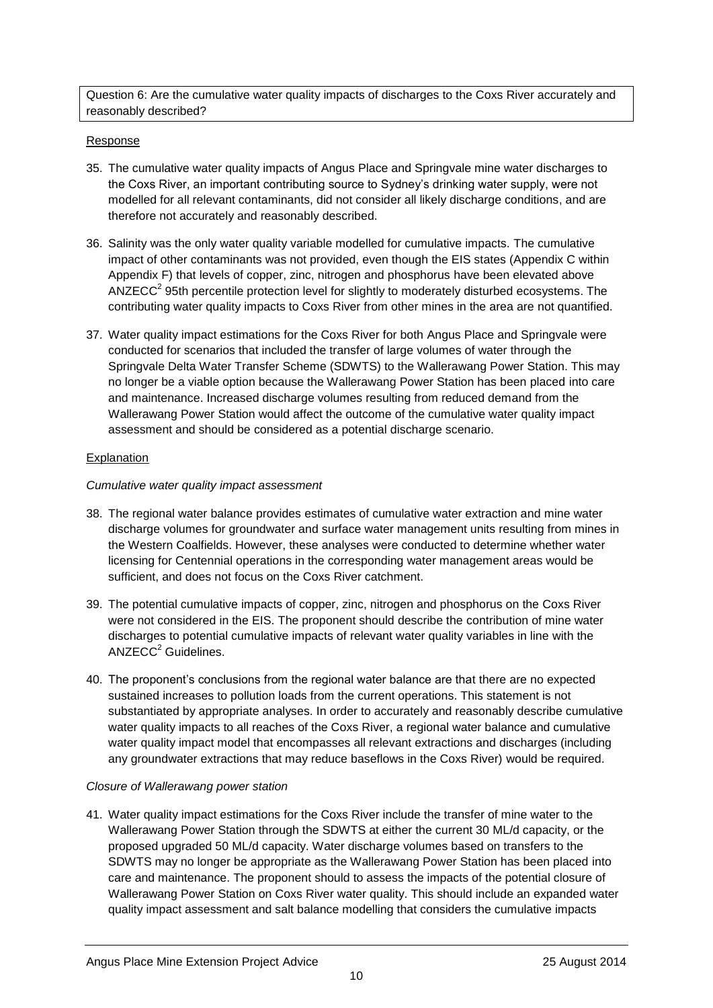Question 6: Are the cumulative water quality impacts of discharges to the Coxs River accurately and reasonably described?

### Response

- 35. The cumulative water quality impacts of Angus Place and Springvale mine water discharges to the Coxs River, an important contributing source to Sydney's drinking water supply, were not modelled for all relevant contaminants, did not consider all likely discharge conditions, and are therefore not accurately and reasonably described.
- 36. Salinity was the only water quality variable modelled for cumulative impacts. The cumulative impact of other contaminants was not provided, even though the EIS states (Appendix C within Appendix F) that levels of copper, zinc, nitrogen and phosphorus have been elevated above ANZECC<sup>2</sup> 95th percentile protection level for slightly to moderately disturbed ecosystems. The contributing water quality impacts to Coxs River from other mines in the area are not quantified.
- 37. Water quality impact estimations for the Coxs River for both Angus Place and Springvale were conducted for scenarios that included the transfer of large volumes of water through the Springvale Delta Water Transfer Scheme (SDWTS) to the Wallerawang Power Station. This may no longer be a viable option because the Wallerawang Power Station has been placed into care and maintenance. Increased discharge volumes resulting from reduced demand from the Wallerawang Power Station would affect the outcome of the cumulative water quality impact assessment and should be considered as a potential discharge scenario.

### **Explanation**

### *Cumulative water quality impact assessment*

- 38. The regional water balance provides estimates of cumulative water extraction and mine water discharge volumes for groundwater and surface water management units resulting from mines in the Western Coalfields. However, these analyses were conducted to determine whether water licensing for Centennial operations in the corresponding water management areas would be sufficient, and does not focus on the Coxs River catchment.
- 39. The potential cumulative impacts of copper, zinc, nitrogen and phosphorus on the Coxs River were not considered in the EIS. The proponent should describe the contribution of mine water discharges to potential cumulative impacts of relevant water quality variables in line with the  $ANZECC<sup>2</sup>$  Guidelines.
- 40. The proponent's conclusions from the regional water balance are that there are no expected sustained increases to pollution loads from the current operations. This statement is not substantiated by appropriate analyses. In order to accurately and reasonably describe cumulative water quality impacts to all reaches of the Coxs River, a regional water balance and cumulative water quality impact model that encompasses all relevant extractions and discharges (including any groundwater extractions that may reduce baseflows in the Coxs River) would be required.

#### *Closure of Wallerawang power station*

41. Water quality impact estimations for the Coxs River include the transfer of mine water to the Wallerawang Power Station through the SDWTS at either the current 30 ML/d capacity, or the proposed upgraded 50 ML/d capacity. Water discharge volumes based on transfers to the SDWTS may no longer be appropriate as the Wallerawang Power Station has been placed into care and maintenance. The proponent should to assess the impacts of the potential closure of Wallerawang Power Station on Coxs River water quality. This should include an expanded water quality impact assessment and salt balance modelling that considers the cumulative impacts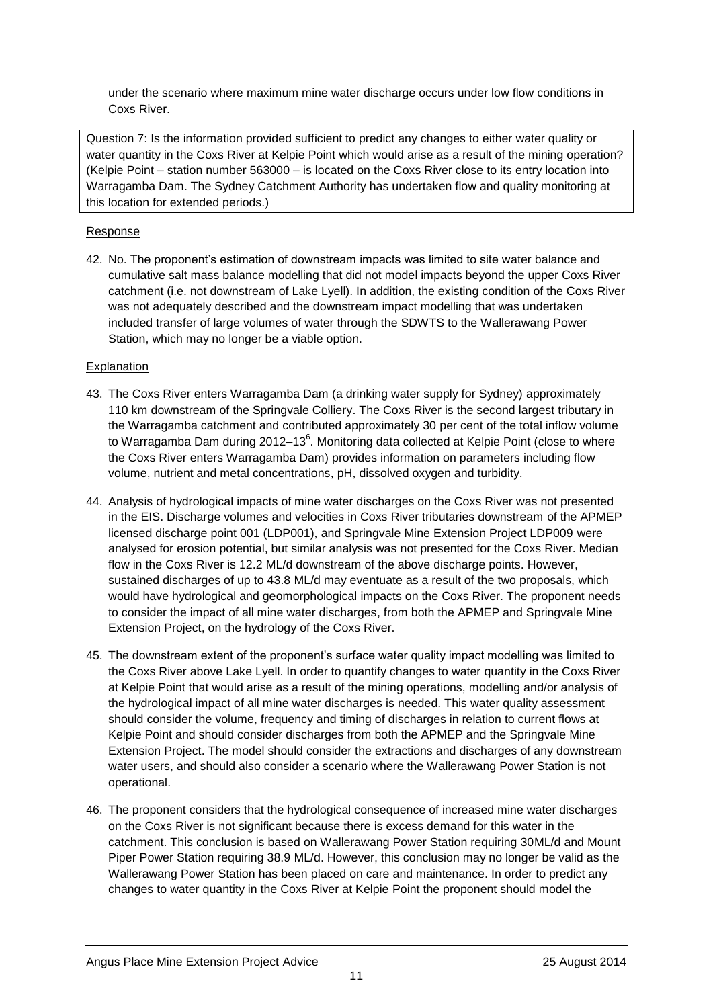under the scenario where maximum mine water discharge occurs under low flow conditions in Coxs River.

Question 7: Is the information provided sufficient to predict any changes to either water quality or water quantity in the Coxs River at Kelpie Point which would arise as a result of the mining operation? (Kelpie Point – station number 563000 – is located on the Coxs River close to its entry location into Warragamba Dam. The Sydney Catchment Authority has undertaken flow and quality monitoring at this location for extended periods.)

## Response

42. No. The proponent's estimation of downstream impacts was limited to site water balance and cumulative salt mass balance modelling that did not model impacts beyond the upper Coxs River catchment (i.e. not downstream of Lake Lyell). In addition, the existing condition of the Coxs River was not adequately described and the downstream impact modelling that was undertaken included transfer of large volumes of water through the SDWTS to the Wallerawang Power Station, which may no longer be a viable option.

- 43. The Coxs River enters Warragamba Dam (a drinking water supply for Sydney) approximately 110 km downstream of the Springvale Colliery. The Coxs River is the second largest tributary in the Warragamba catchment and contributed approximately 30 per cent of the total inflow volume to Warragamba Dam during 2012–13<sup>6</sup>. Monitoring data collected at Kelpie Point (close to where the Coxs River enters Warragamba Dam) provides information on parameters including flow volume, nutrient and metal concentrations, pH, dissolved oxygen and turbidity.
- 44. Analysis of hydrological impacts of mine water discharges on the Coxs River was not presented in the EIS. Discharge volumes and velocities in Coxs River tributaries downstream of the APMEP licensed discharge point 001 (LDP001), and Springvale Mine Extension Project LDP009 were analysed for erosion potential, but similar analysis was not presented for the Coxs River. Median flow in the Coxs River is 12.2 ML/d downstream of the above discharge points. However, sustained discharges of up to 43.8 ML/d may eventuate as a result of the two proposals, which would have hydrological and geomorphological impacts on the Coxs River. The proponent needs to consider the impact of all mine water discharges, from both the APMEP and Springvale Mine Extension Project, on the hydrology of the Coxs River.
- 45. The downstream extent of the proponent's surface water quality impact modelling was limited to the Coxs River above Lake Lyell. In order to quantify changes to water quantity in the Coxs River at Kelpie Point that would arise as a result of the mining operations, modelling and/or analysis of the hydrological impact of all mine water discharges is needed. This water quality assessment should consider the volume, frequency and timing of discharges in relation to current flows at Kelpie Point and should consider discharges from both the APMEP and the Springvale Mine Extension Project. The model should consider the extractions and discharges of any downstream water users, and should also consider a scenario where the Wallerawang Power Station is not operational.
- 46. The proponent considers that the hydrological consequence of increased mine water discharges on the Coxs River is not significant because there is excess demand for this water in the catchment. This conclusion is based on Wallerawang Power Station requiring 30ML/d and Mount Piper Power Station requiring 38.9 ML/d. However, this conclusion may no longer be valid as the Wallerawang Power Station has been placed on care and maintenance. In order to predict any changes to water quantity in the Coxs River at Kelpie Point the proponent should model the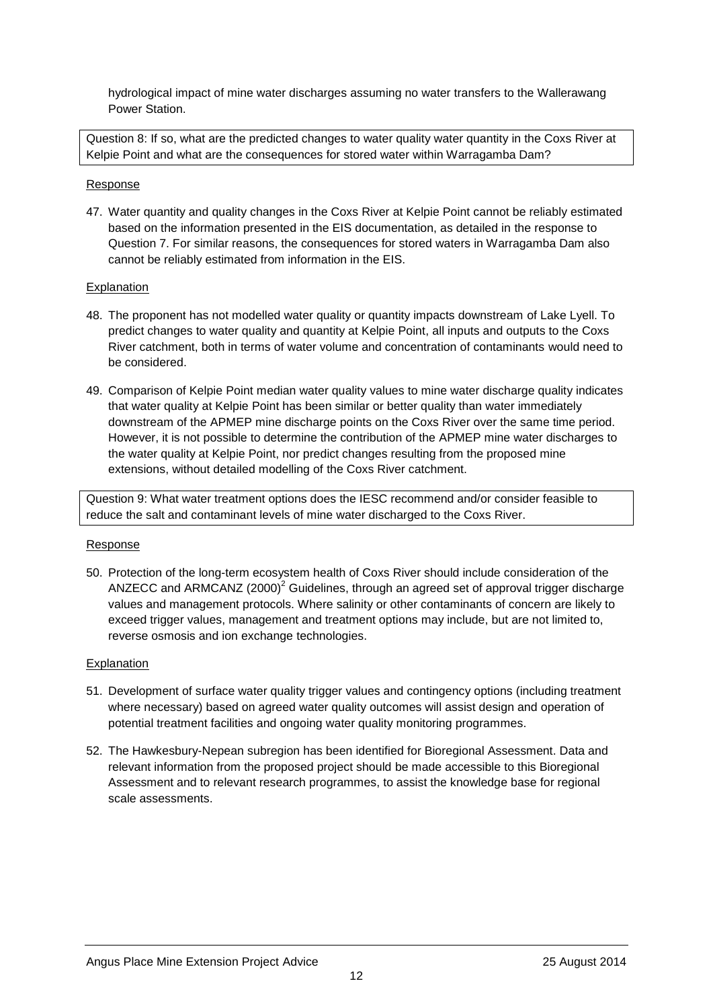hydrological impact of mine water discharges assuming no water transfers to the Wallerawang Power Station.

Question 8: If so, what are the predicted changes to water quality water quantity in the Coxs River at Kelpie Point and what are the consequences for stored water within Warragamba Dam?

#### Response

47. Water quantity and quality changes in the Coxs River at Kelpie Point cannot be reliably estimated based on the information presented in the EIS documentation, as detailed in the response to Question 7. For similar reasons, the consequences for stored waters in Warragamba Dam also cannot be reliably estimated from information in the EIS.

#### Explanation

- 48. The proponent has not modelled water quality or quantity impacts downstream of Lake Lyell. To predict changes to water quality and quantity at Kelpie Point, all inputs and outputs to the Coxs River catchment, both in terms of water volume and concentration of contaminants would need to be considered.
- 49. Comparison of Kelpie Point median water quality values to mine water discharge quality indicates that water quality at Kelpie Point has been similar or better quality than water immediately downstream of the APMEP mine discharge points on the Coxs River over the same time period. However, it is not possible to determine the contribution of the APMEP mine water discharges to the water quality at Kelpie Point, nor predict changes resulting from the proposed mine extensions, without detailed modelling of the Coxs River catchment.

Question 9: What water treatment options does the IESC recommend and/or consider feasible to reduce the salt and contaminant levels of mine water discharged to the Coxs River.

#### Response

50. Protection of the long-term ecosystem health of Coxs River should include consideration of the ANZECC and ARMCANZ (2000)<sup>2</sup> Guidelines, through an agreed set of approval trigger discharge values and management protocols. Where salinity or other contaminants of concern are likely to exceed trigger values, management and treatment options may include, but are not limited to, reverse osmosis and ion exchange technologies.

- 51. Development of surface water quality trigger values and contingency options (including treatment where necessary) based on agreed water quality outcomes will assist design and operation of potential treatment facilities and ongoing water quality monitoring programmes.
- 52. The Hawkesbury-Nepean subregion has been identified for Bioregional Assessment. Data and relevant information from the proposed project should be made accessible to this Bioregional Assessment and to relevant research programmes, to assist the knowledge base for regional scale assessments.